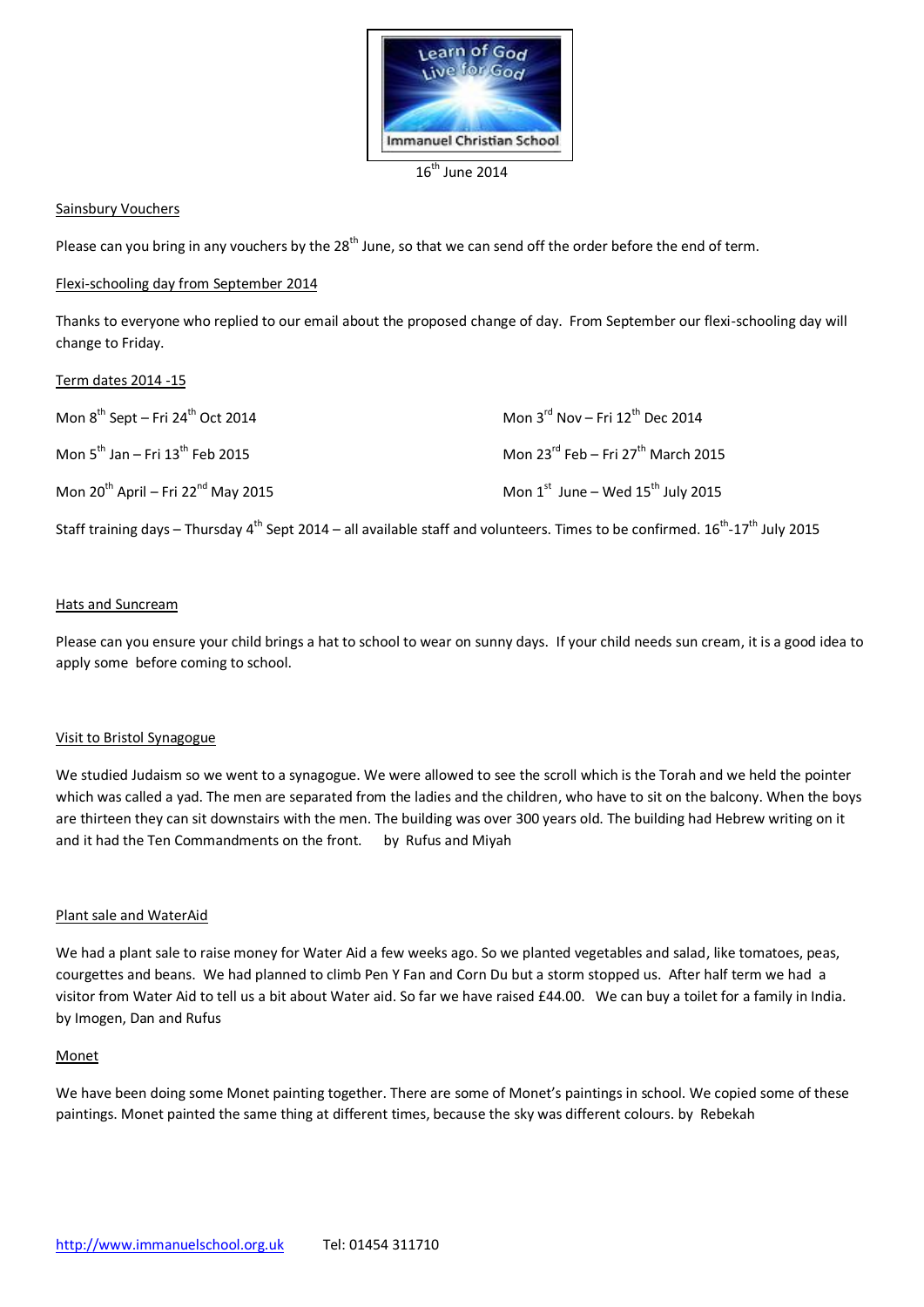

16<sup>th</sup> June 2014

### Sainsbury Vouchers

Please can you bring in any vouchers by the 28<sup>th</sup> June, so that we can send off the order before the end of term.

### Flexi-schooling day from September 2014

Thanks to everyone who replied to our email about the proposed change of day. From September our flexi-schooling day will change to Friday.

## Term dates 2014 -15

| Mon $8^{th}$ Sept – Fri 24 <sup>th</sup> Oct 2014   | Mon $3^{\text{rd}}$ Nov - Fri 12 <sup>th</sup> Dec 2014    |
|-----------------------------------------------------|------------------------------------------------------------|
| Mon $5^{th}$ Jan – Fri $13^{th}$ Feb 2015           | Mon $23^{\text{rd}}$ Feb – Fri $27^{\text{th}}$ March 2015 |
| Mon $20^{th}$ April – Fri 22 <sup>nd</sup> May 2015 | Mon $1^{st}$ June – Wed $15^{th}$ July 2015                |

Staff training days – Thursday 4<sup>th</sup> Sept 2014 – all available staff and volunteers. Times to be confirmed. 16<sup>th</sup>-17<sup>th</sup> July 2015

#### Hats and Suncream

Please can you ensure your child brings a hat to school to wear on sunny days. If your child needs sun cream, it is a good idea to apply some before coming to school.

#### Visit to Bristol Synagogue

We studied Judaism so we went to a synagogue. We were allowed to see the scroll which is the Torah and we held the pointer which was called a yad. The men are separated from the ladies and the children, who have to sit on the balcony. When the boys are thirteen they can sit downstairs with the men. The building was over 300 years old. The building had Hebrew writing on it and it had the Ten Commandments on the front. by Rufus and Miyah

#### Plant sale and WaterAid

We had a plant sale to raise money for Water Aid a few weeks ago. So we planted vegetables and salad, like tomatoes, peas, courgettes and beans. We had planned to climb Pen Y Fan and Corn Du but a storm stopped us. After half term we had a visitor from Water Aid to tell us a bit about Water aid. So far we have raised £44.00. We can buy a toilet for a family in India. by Imogen, Dan and Rufus

#### **Monet**

We have been doing some Monet painting together. There are some of Monet's paintings in school. We copied some of these paintings. Monet painted the same thing at different times, because the sky was different colours. by Rebekah